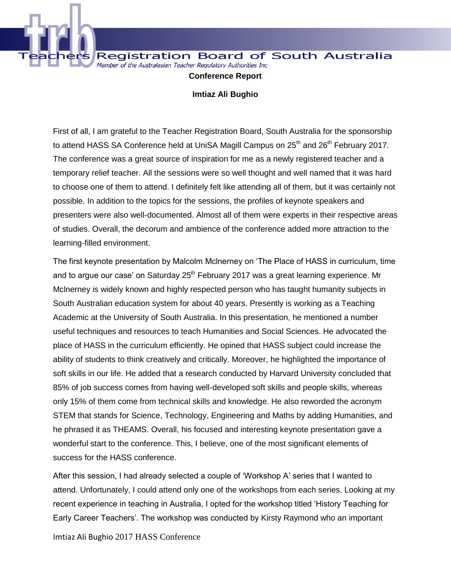

**Registration Board of South Australia** Member of the Australasian Teacher Regulatory Authorities Inc

**Conference Report** 

**Imtiaz Ali Bughio**

First of all, I am grateful to the Teacher Registration Board, South Australia for the sponsorship to attend HASS SA Conference held at UniSA Magill Campus on  $25<sup>th</sup>$  and  $26<sup>th</sup>$  February 2017. The conference was a great source of inspiration for me as a newly registered teacher and a temporary relief teacher. All the sessions were so well thought and well named that it was hard to choose one of them to attend. I definitely felt like attending all of them, but it was certainly not possible. In addition to the topics for the sessions, the profiles of keynote speakers and presenters were also well-documented. Almost all of them were experts in their respective areas of studies. Overall, the decorum and ambience of the conference added more attraction to the learning-filled environment.

The first keynote presentation by Malcolm Mclnerney on 'The Place of HASS in curriculum, time and to argue our case' on Saturday 25<sup>th</sup> February 2017 was a great learning experience. Mr Mclnerney is widely known and highly respected person who has taught humanity subjects in South Australian education system for about 40 years. Presently is working as a Teaching Academic at the University of South Australia. In this presentation, he mentioned a number useful techniques and resources to teach Humanities and Social Sciences. He advocated the place of HASS in the curriculum efficiently. He opined that HASS subject could increase the ability of students to think creatively and critically. Moreover, he highlighted the importance of soft skills in our life. He added that a research conducted by Harvard University concluded that 85% of job success comes from having well-developed soft skills and people skills, whereas only 15% of them come from technical skills and knowledge. He also reworded the acronym STEM that stands for Science, Technology, Engineering and Maths by adding Humanities, and he phrased it as THEAMS. Overall, his focused and interesting keynote presentation gave a wonderful start to the conference. This, I believe, one of the most significant elements of success for the HASS conference.

After this session, I had already selected a couple of 'Workshop A' series that I wanted to attend. Unfortunately, I could attend only one of the workshops from each series. Looking at my recent experience in teaching in Australia, I opted for the workshop titled 'History Teaching for Early Career Teachers'. The workshop was conducted by Kirsty Raymond who an important

Imtiaz Ali Bughio 2017 HASS Conference